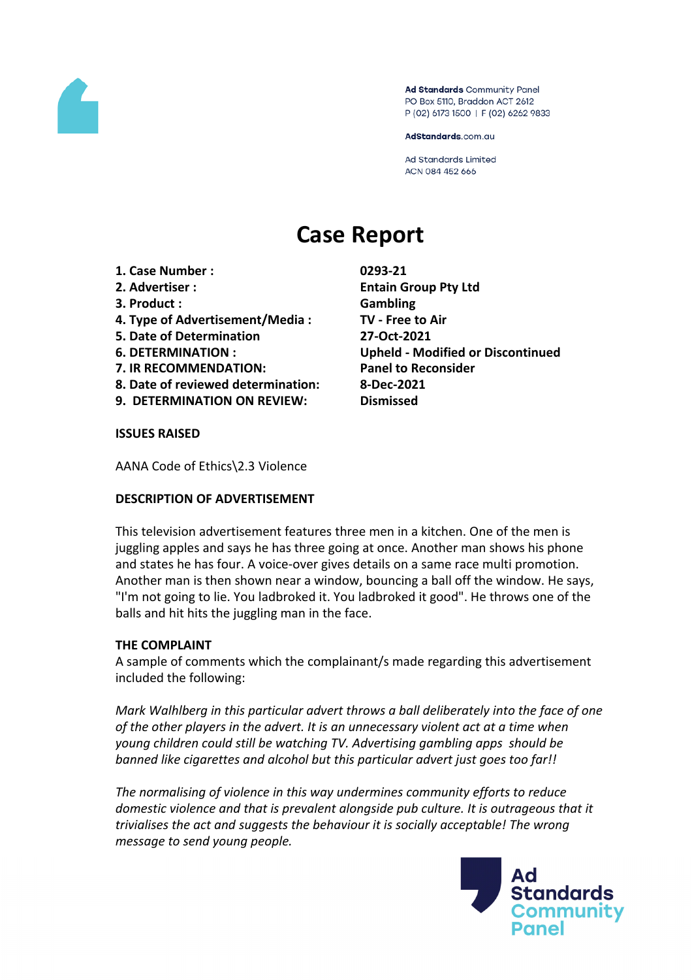

Ad Standards Community Panel PO Box 5110, Braddon ACT 2612 P (02) 6173 1500 | F (02) 6262 9833

AdStandards.com.au

**Ad Standards Limited** ACN 084 452 666

# **Case Report**

- **1. Case Number : 0293-21**
- 
- **3. Product : Gambling**
- **4. Type of Advertisement/Media : TV - Free to Air**
- **5. Date of Determination 27-Oct-2021**
- 
- **7. IR RECOMMENDATION: Panel to Reconsider**
- **8. Date of reviewed determination: 8-Dec-2021**
- **9. DETERMINATION ON REVIEW: Dismissed**

**2. Advertiser : Entain Group Pty Ltd 6. DETERMINATION : Upheld - Modified or Discontinued**

#### **ISSUES RAISED**

AANA Code of Ethics\2.3 Violence

# **DESCRIPTION OF ADVERTISEMENT**

This television advertisement features three men in a kitchen. One of the men is juggling apples and says he has three going at once. Another man shows his phone and states he has four. A voice-over gives details on a same race multi promotion. Another man is then shown near a window, bouncing a ball off the window. He says, "I'm not going to lie. You ladbroked it. You ladbroked it good". He throws one of the balls and hit hits the juggling man in the face.

# **THE COMPLAINT**

A sample of comments which the complainant/s made regarding this advertisement included the following:

*Mark Walhlberg in this particular advert throws a ball deliberately into the face of one of the other players in the advert. It is an unnecessary violent act at a time when young children could still be watching TV. Advertising gambling apps should be banned like cigarettes and alcohol but this particular advert just goes too far!!*

*The normalising of violence in this way undermines community efforts to reduce domestic violence and that is prevalent alongside pub culture. It is outrageous that it trivialises the act and suggests the behaviour it is socially acceptable! The wrong message to send young people.*

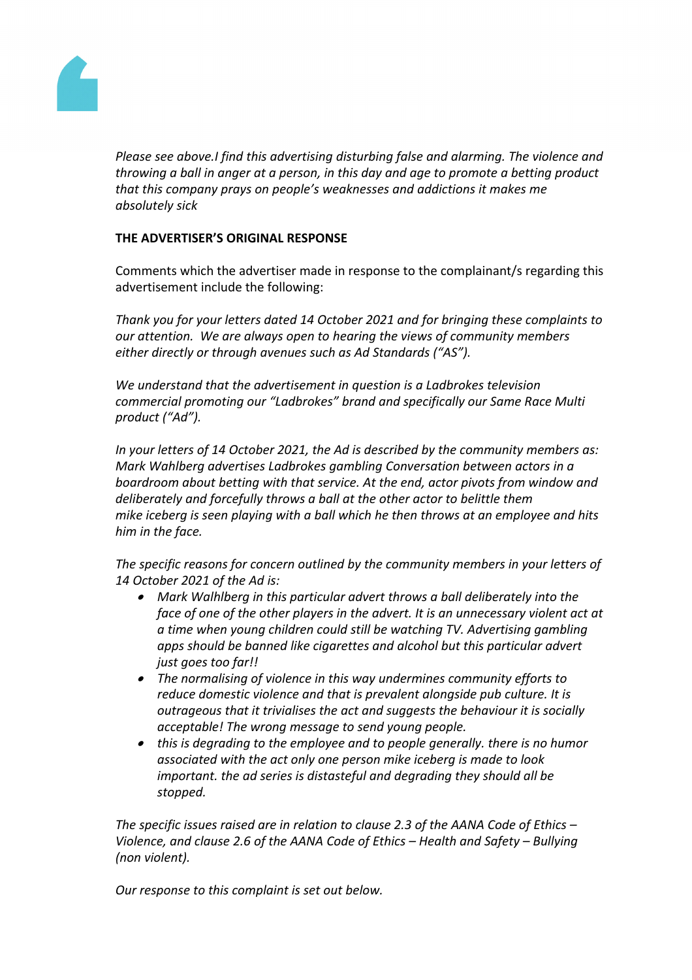

*Please see above.I find this advertising disturbing false and alarming. The violence and throwing a ball in anger at a person, in this day and age to promote a betting product that this company prays on people's weaknesses and addictions it makes me absolutely sick*

# **THE ADVERTISER'S ORIGINAL RESPONSE**

Comments which the advertiser made in response to the complainant/s regarding this advertisement include the following:

*Thank you for your letters dated 14 October 2021 and for bringing these complaints to our attention. We are always open to hearing the views of community members either directly or through avenues such as Ad Standards ("AS").* 

*We understand that the advertisement in question is a Ladbrokes television commercial promoting our "Ladbrokes" brand and specifically our Same Race Multi product ("Ad").* 

*In your letters of 14 October 2021, the Ad is described by the community members as: Mark Wahlberg advertises Ladbrokes gambling Conversation between actors in a boardroom about betting with that service. At the end, actor pivots from window and deliberately and forcefully throws a ball at the other actor to belittle them mike iceberg is seen playing with a ball which he then throws at an employee and hits him in the face.*

*The specific reasons for concern outlined by the community members in your letters of 14 October 2021 of the Ad is:* 

- *Mark Walhlberg in this particular advert throws a ball deliberately into the face of one of the other players in the advert. It is an unnecessary violent act at a time when young children could still be watching TV. Advertising gambling apps should be banned like cigarettes and alcohol but this particular advert just goes too far!!*
- *The normalising of violence in this way undermines community efforts to reduce domestic violence and that is prevalent alongside pub culture. It is outrageous that it trivialises the act and suggests the behaviour it is socially acceptable! The wrong message to send young people.*
- *this is degrading to the employee and to people generally. there is no humor associated with the act only one person mike iceberg is made to look important. the ad series is distasteful and degrading they should all be stopped.*

*The specific issues raised are in relation to clause 2.3 of the AANA Code of Ethics – Violence, and clause 2.6 of the AANA Code of Ethics – Health and Safety – Bullying (non violent).*

*Our response to this complaint is set out below.*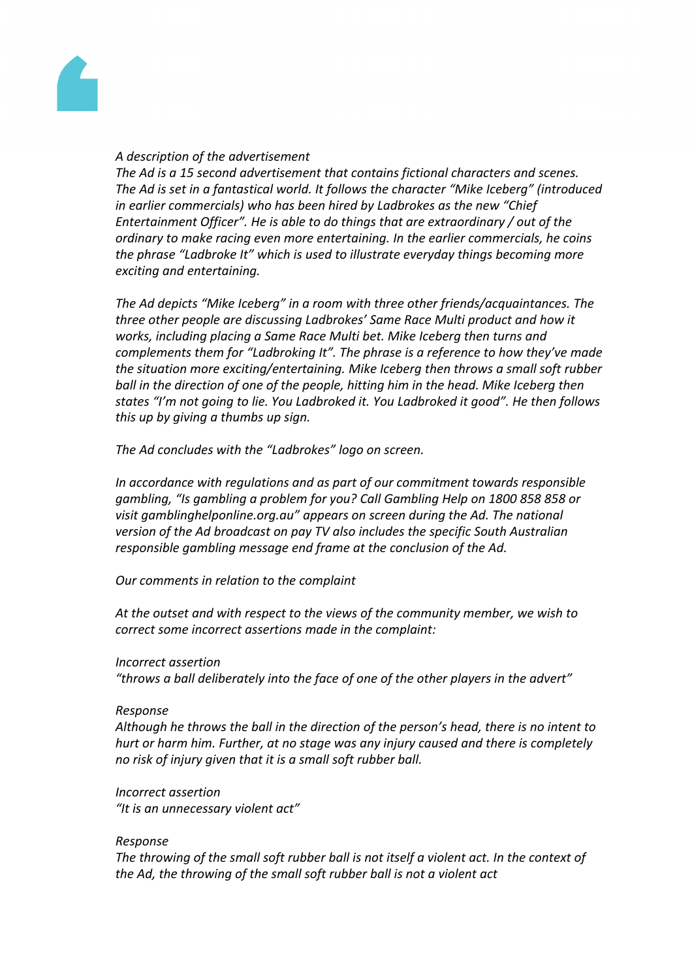

# *A description of the advertisement*

*The Ad is a 15 second advertisement that contains fictional characters and scenes. The Ad is set in a fantastical world. It follows the character "Mike Iceberg" (introduced in earlier commercials) who has been hired by Ladbrokes as the new "Chief Entertainment Officer". He is able to do things that are extraordinary / out of the ordinary to make racing even more entertaining. In the earlier commercials, he coins the phrase "Ladbroke It" which is used to illustrate everyday things becoming more exciting and entertaining.*

*The Ad depicts "Mike Iceberg" in a room with three other friends/acquaintances. The three other people are discussing Ladbrokes' Same Race Multi product and how it works, including placing a Same Race Multi bet. Mike Iceberg then turns and complements them for "Ladbroking It". The phrase is a reference to how they've made the situation more exciting/entertaining. Mike Iceberg then throws a small soft rubber ball in the direction of one of the people, hitting him in the head. Mike Iceberg then states "I'm not going to lie. You Ladbroked it. You Ladbroked it good". He then follows this up by giving a thumbs up sign.*

*The Ad concludes with the "Ladbrokes" logo on screen.* 

*In accordance with regulations and as part of our commitment towards responsible gambling, "Is gambling a problem for you? Call Gambling Help on 1800 858 858 or visit gamblinghelponline.org.au" appears on screen during the Ad. The national version of the Ad broadcast on pay TV also includes the specific South Australian responsible gambling message end frame at the conclusion of the Ad.*

*Our comments in relation to the complaint*

*At the outset and with respect to the views of the community member, we wish to correct some incorrect assertions made in the complaint:*

#### *Incorrect assertion*

*"throws a ball deliberately into the face of one of the other players in the advert"*

#### *Response*

*Although he throws the ball in the direction of the person's head, there is no intent to hurt or harm him. Further, at no stage was any injury caused and there is completely no risk of injury given that it is a small soft rubber ball.*

*Incorrect assertion*

*"It is an unnecessary violent act"*

# *Response*

*The throwing of the small soft rubber ball is not itself a violent act. In the context of the Ad, the throwing of the small soft rubber ball is not a violent act*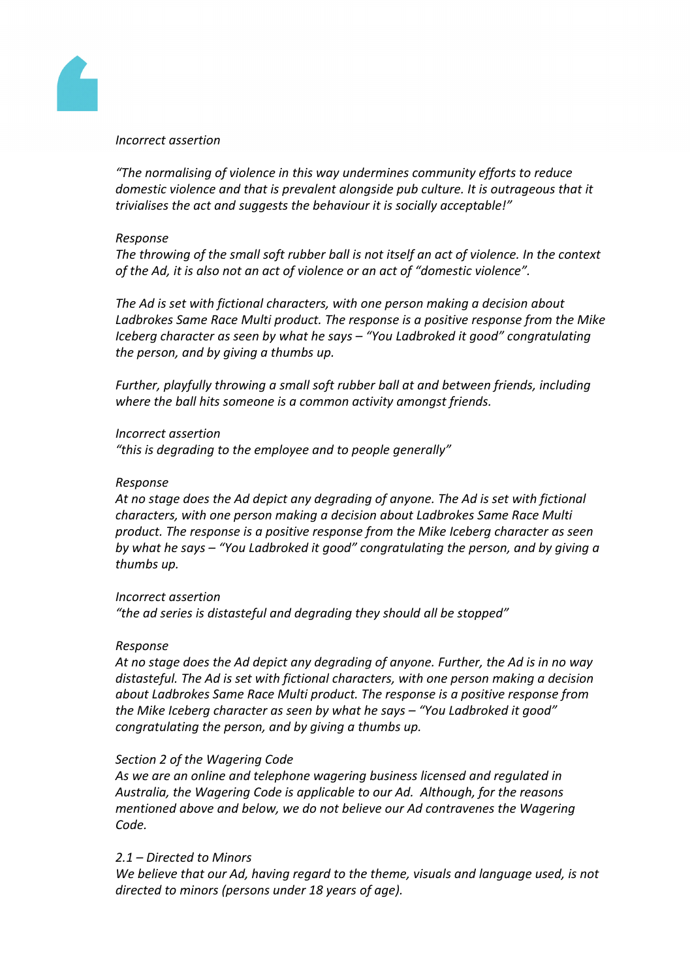

#### *Incorrect assertion*

*"The normalising of violence in this way undermines community efforts to reduce domestic violence and that is prevalent alongside pub culture. It is outrageous that it trivialises the act and suggests the behaviour it is socially acceptable!"*

### *Response*

*The throwing of the small soft rubber ball is not itself an act of violence. In the context of the Ad, it is also not an act of violence or an act of "domestic violence".*

*The Ad is set with fictional characters, with one person making a decision about Ladbrokes Same Race Multi product. The response is a positive response from the Mike Iceberg character as seen by what he says – "You Ladbroked it good" congratulating the person, and by giving a thumbs up.*

*Further, playfully throwing a small soft rubber ball at and between friends, including where the ball hits someone is a common activity amongst friends.*

# *Incorrect assertion*

*"this is degrading to the employee and to people generally"*

### *Response*

*At no stage does the Ad depict any degrading of anyone. The Ad is set with fictional characters, with one person making a decision about Ladbrokes Same Race Multi product. The response is a positive response from the Mike Iceberg character as seen by what he says – "You Ladbroked it good" congratulating the person, and by giving a thumbs up.*

# *Incorrect assertion*

*"the ad series is distasteful and degrading they should all be stopped"*

# *Response*

*At no stage does the Ad depict any degrading of anyone. Further, the Ad is in no way distasteful. The Ad is set with fictional characters, with one person making a decision about Ladbrokes Same Race Multi product. The response is a positive response from the Mike Iceberg character as seen by what he says – "You Ladbroked it good" congratulating the person, and by giving a thumbs up.*

# *Section 2 of the Wagering Code*

*As we are an online and telephone wagering business licensed and regulated in Australia, the Wagering Code is applicable to our Ad. Although, for the reasons mentioned above and below, we do not believe our Ad contravenes the Wagering Code.*

# *2.1 – Directed to Minors*

*We believe that our Ad, having regard to the theme, visuals and language used, is not directed to minors (persons under 18 years of age).*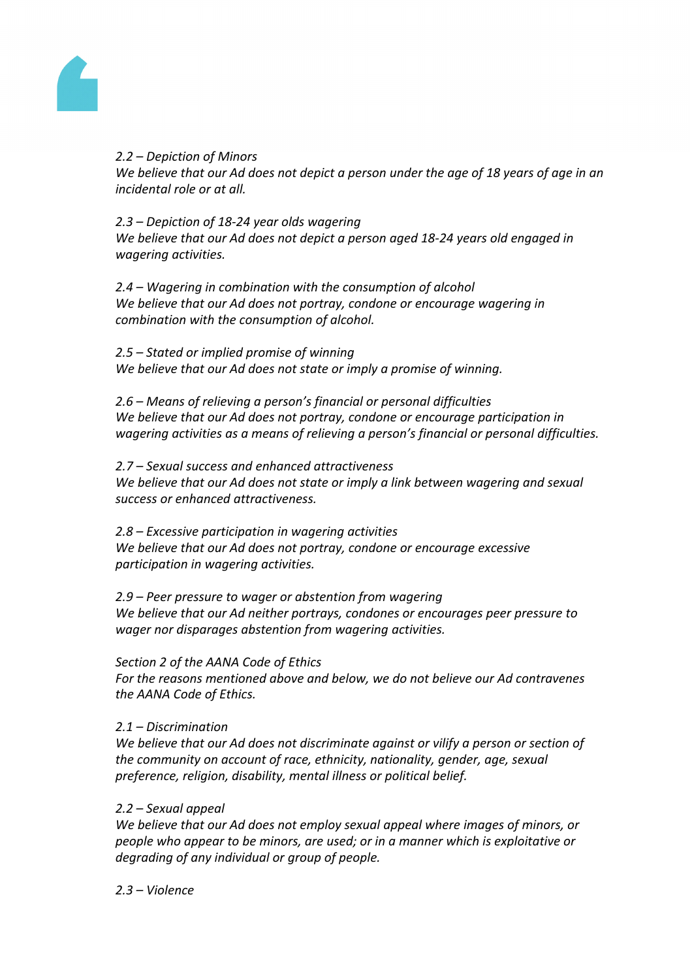

# *2.2 – Depiction of Minors*

We believe that our Ad does not depict a person under the age of 18 years of age in an *incidental role or at all.*

# *2.3 – Depiction of 18-24 year olds wagering*

*We believe that our Ad does not depict a person aged 18-24 years old engaged in wagering activities.*

*2.4 – Wagering in combination with the consumption of alcohol We believe that our Ad does not portray, condone or encourage wagering in combination with the consumption of alcohol.* 

*2.5 – Stated or implied promise of winning We believe that our Ad does not state or imply a promise of winning.*

*2.6 – Means of relieving a person's financial or personal difficulties We believe that our Ad does not portray, condone or encourage participation in wagering activities as a means of relieving a person's financial or personal difficulties.*

*2.7 – Sexual success and enhanced attractiveness We believe that our Ad does not state or imply a link between wagering and sexual success or enhanced attractiveness.*

*2.8 – Excessive participation in wagering activities We believe that our Ad does not portray, condone or encourage excessive participation in wagering activities.*

*2.9 – Peer pressure to wager or abstention from wagering We believe that our Ad neither portrays, condones or encourages peer pressure to wager nor disparages abstention from wagering activities.*

*Section 2 of the AANA Code of Ethics*

*For the reasons mentioned above and below, we do not believe our Ad contravenes the AANA Code of Ethics.*

# *2.1 – Discrimination*

*We believe that our Ad does not discriminate against or vilify a person or section of the community on account of race, ethnicity, nationality, gender, age, sexual preference, religion, disability, mental illness or political belief.* 

# *2.2 – Sexual appeal*

*We believe that our Ad does not employ sexual appeal where images of minors, or people who appear to be minors, are used; or in a manner which is exploitative or degrading of any individual or group of people.*

*2.3 – Violence*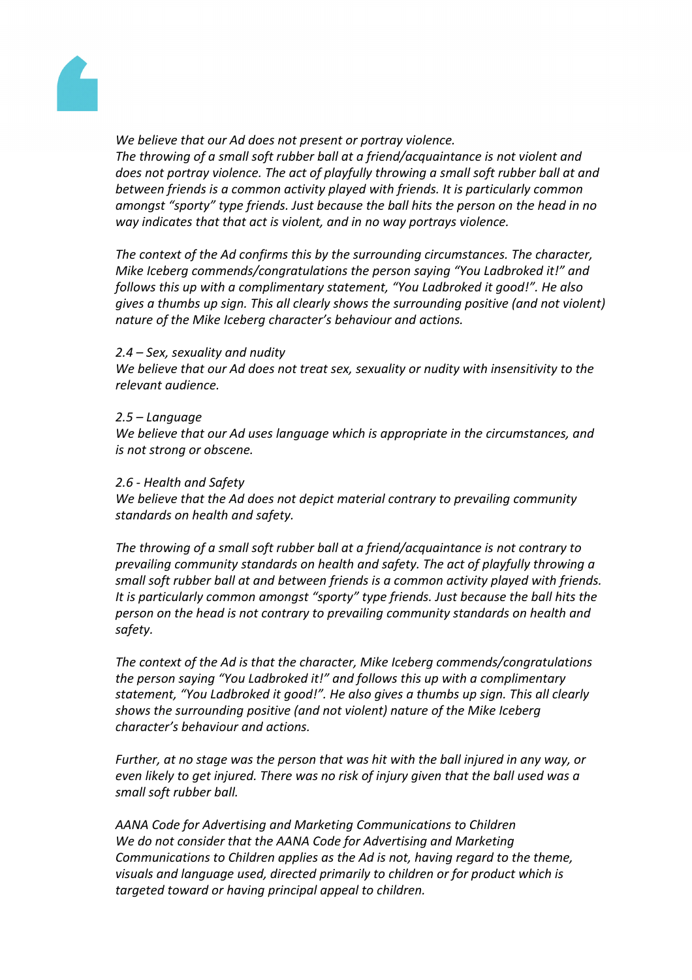

*We believe that our Ad does not present or portray violence.* 

*The throwing of a small soft rubber ball at a friend/acquaintance is not violent and does not portray violence. The act of playfully throwing a small soft rubber ball at and between friends is a common activity played with friends. It is particularly common amongst "sporty" type friends. Just because the ball hits the person on the head in no way indicates that that act is violent, and in no way portrays violence.*

*The context of the Ad confirms this by the surrounding circumstances. The character, Mike Iceberg commends/congratulations the person saying "You Ladbroked it!" and follows this up with a complimentary statement, "You Ladbroked it good!". He also gives a thumbs up sign. This all clearly shows the surrounding positive (and not violent) nature of the Mike Iceberg character's behaviour and actions.*

#### *2.4 – Sex, sexuality and nudity*

*We believe that our Ad does not treat sex, sexuality or nudity with insensitivity to the relevant audience.* 

#### *2.5 – Language*

*We believe that our Ad uses language which is appropriate in the circumstances, and is not strong or obscene.* 

#### *2.6 - Health and Safety*

*We believe that the Ad does not depict material contrary to prevailing community standards on health and safety.*

*The throwing of a small soft rubber ball at a friend/acquaintance is not contrary to prevailing community standards on health and safety. The act of playfully throwing a small soft rubber ball at and between friends is a common activity played with friends. It is particularly common amongst "sporty" type friends. Just because the ball hits the person on the head is not contrary to prevailing community standards on health and safety.*

*The context of the Ad is that the character, Mike Iceberg commends/congratulations the person saying "You Ladbroked it!" and follows this up with a complimentary statement, "You Ladbroked it good!". He also gives a thumbs up sign. This all clearly shows the surrounding positive (and not violent) nature of the Mike Iceberg character's behaviour and actions.*

*Further, at no stage was the person that was hit with the ball injured in any way, or even likely to get injured. There was no risk of injury given that the ball used was a small soft rubber ball.*

*AANA Code for Advertising and Marketing Communications to Children We do not consider that the AANA Code for Advertising and Marketing Communications to Children applies as the Ad is not, having regard to the theme, visuals and language used, directed primarily to children or for product which is targeted toward or having principal appeal to children.*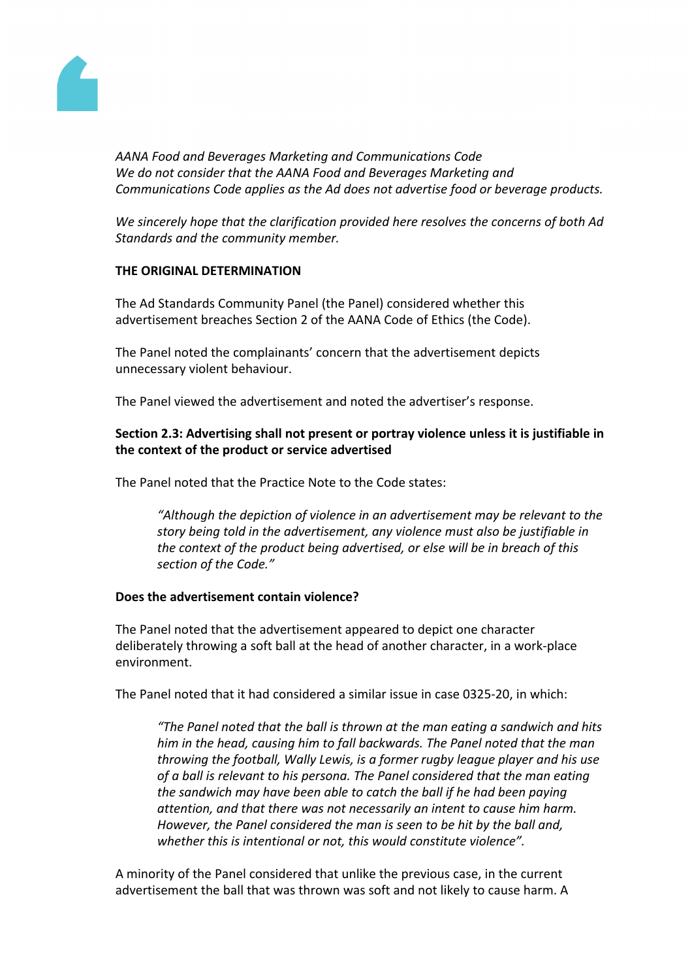

*AANA Food and Beverages Marketing and Communications Code We do not consider that the AANA Food and Beverages Marketing and Communications Code applies as the Ad does not advertise food or beverage products.*

*We sincerely hope that the clarification provided here resolves the concerns of both Ad Standards and the community member.*

# **THE ORIGINAL DETERMINATION**

The Ad Standards Community Panel (the Panel) considered whether this advertisement breaches Section 2 of the AANA Code of Ethics (the Code).

The Panel noted the complainants' concern that the advertisement depicts unnecessary violent behaviour.

The Panel viewed the advertisement and noted the advertiser's response.

# **Section 2.3: Advertising shall not present or portray violence unless it is justifiable in the context of the product or service advertised**

The Panel noted that the Practice Note to the Code states:

*"Although the depiction of violence in an advertisement may be relevant to the story being told in the advertisement, any violence must also be justifiable in the context of the product being advertised, or else will be in breach of this section of the Code."*

# **Does the advertisement contain violence?**

The Panel noted that the advertisement appeared to depict one character deliberately throwing a soft ball at the head of another character, in a work-place environment.

The Panel noted that it had considered a similar issue in case 0325-20, in which:

*"The Panel noted that the ball is thrown at the man eating a sandwich and hits him in the head, causing him to fall backwards. The Panel noted that the man throwing the football, Wally Lewis, is a former rugby league player and his use of a ball is relevant to his persona. The Panel considered that the man eating the sandwich may have been able to catch the ball if he had been paying attention, and that there was not necessarily an intent to cause him harm. However, the Panel considered the man is seen to be hit by the ball and, whether this is intentional or not, this would constitute violence".*

A minority of the Panel considered that unlike the previous case, in the current advertisement the ball that was thrown was soft and not likely to cause harm. A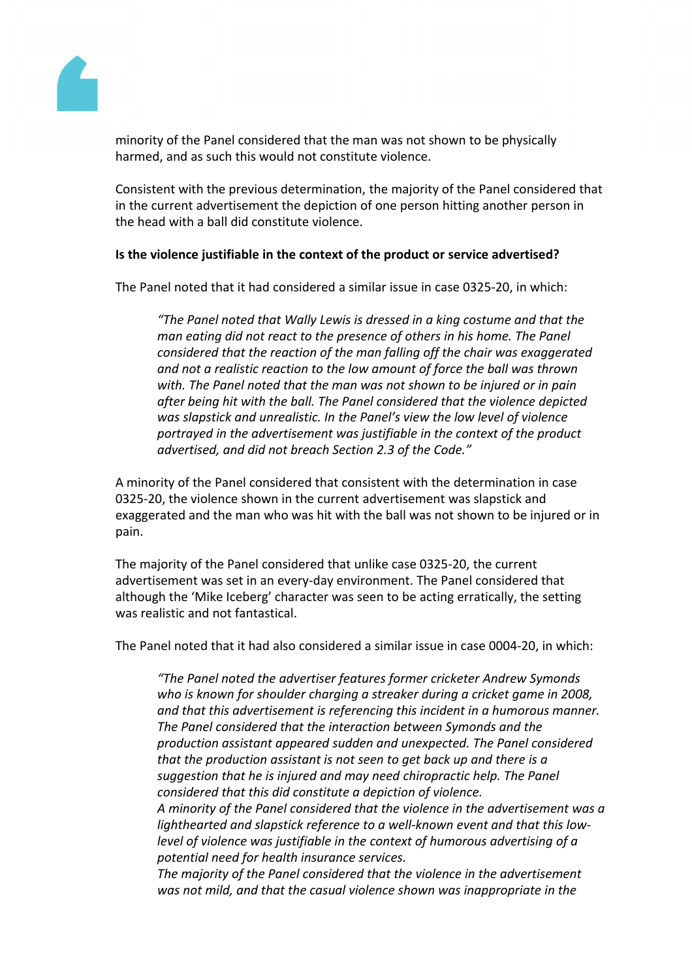

minority of the Panel considered that the man was not shown to be physically harmed, and as such this would not constitute violence.

Consistent with the previous determination, the majority of the Panel considered that in the current advertisement the depiction of one person hitting another person in the head with a ball did constitute violence.

# **Is the violence justifiable in the context of the product or service advertised?**

The Panel noted that it had considered a similar issue in case 0325-20, in which:

*"The Panel noted that Wally Lewis is dressed in a king costume and that the man eating did not react to the presence of others in his home. The Panel considered that the reaction of the man falling off the chair was exaggerated and not a realistic reaction to the low amount of force the ball was thrown with. The Panel noted that the man was not shown to be injured or in pain after being hit with the ball. The Panel considered that the violence depicted was slapstick and unrealistic. In the Panel's view the low level of violence portrayed in the advertisement was justifiable in the context of the product advertised, and did not breach Section 2.3 of the Code."*

A minority of the Panel considered that consistent with the determination in case 0325-20, the violence shown in the current advertisement was slapstick and exaggerated and the man who was hit with the ball was not shown to be injured or in pain.

The majority of the Panel considered that unlike case 0325-20, the current advertisement was set in an every-day environment. The Panel considered that although the 'Mike Iceberg' character was seen to be acting erratically, the setting was realistic and not fantastical.

The Panel noted that it had also considered a similar issue in case 0004-20, in which:

*"The Panel noted the advertiser features former cricketer Andrew Symonds who is known for shoulder charging a streaker during a cricket game in 2008, and that this advertisement is referencing this incident in a humorous manner. The Panel considered that the interaction between Symonds and the production assistant appeared sudden and unexpected. The Panel considered that the production assistant is not seen to get back up and there is a suggestion that he is injured and may need chiropractic help. The Panel considered that this did constitute a depiction of violence. A minority of the Panel considered that the violence in the advertisement was a lighthearted and slapstick reference to a well-known event and that this lowlevel of violence was justifiable in the context of humorous advertising of a potential need for health insurance services.*

*The majority of the Panel considered that the violence in the advertisement was not mild, and that the casual violence shown was inappropriate in the*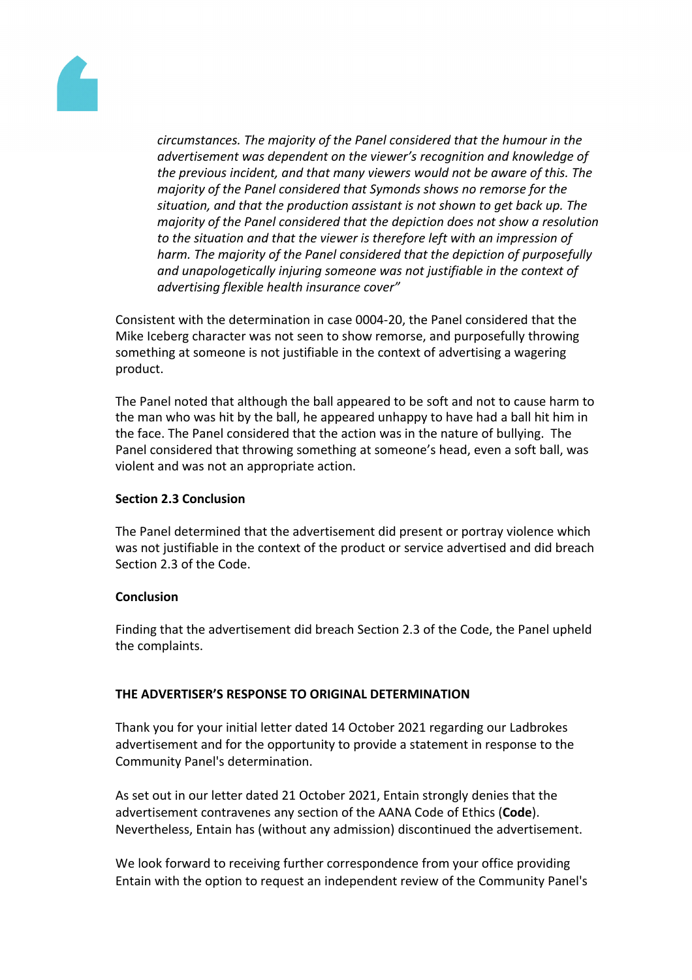

*circumstances. The majority of the Panel considered that the humour in the advertisement was dependent on the viewer's recognition and knowledge of the previous incident, and that many viewers would not be aware of this. The majority of the Panel considered that Symonds shows no remorse for the situation, and that the production assistant is not shown to get back up. The majority of the Panel considered that the depiction does not show a resolution to the situation and that the viewer is therefore left with an impression of harm. The majority of the Panel considered that the depiction of purposefully and unapologetically injuring someone was not justifiable in the context of advertising flexible health insurance cover"*

Consistent with the determination in case 0004-20, the Panel considered that the Mike Iceberg character was not seen to show remorse, and purposefully throwing something at someone is not justifiable in the context of advertising a wagering product.

The Panel noted that although the ball appeared to be soft and not to cause harm to the man who was hit by the ball, he appeared unhappy to have had a ball hit him in the face. The Panel considered that the action was in the nature of bullying. The Panel considered that throwing something at someone's head, even a soft ball, was violent and was not an appropriate action.

# **Section 2.3 Conclusion**

The Panel determined that the advertisement did present or portray violence which was not justifiable in the context of the product or service advertised and did breach Section 2.3 of the Code.

# **Conclusion**

Finding that the advertisement did breach Section 2.3 of the Code, the Panel upheld the complaints.

# **THE ADVERTISER'S RESPONSE TO ORIGINAL DETERMINATION**

Thank you for your initial letter dated 14 October 2021 regarding our Ladbrokes advertisement and for the opportunity to provide a statement in response to the Community Panel's determination.

As set out in our letter dated 21 October 2021, Entain strongly denies that the advertisement contravenes any section of the AANA Code of Ethics (**Code**). Nevertheless, Entain has (without any admission) discontinued the advertisement.

We look forward to receiving further correspondence from your office providing Entain with the option to request an independent review of the Community Panel's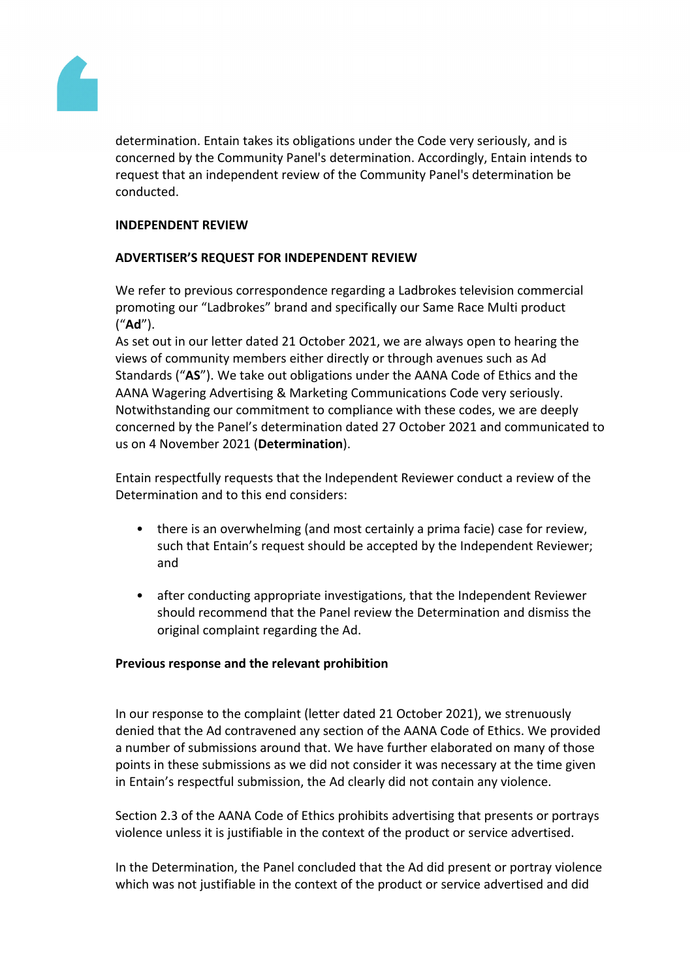

determination. Entain takes its obligations under the Code very seriously, and is concerned by the Community Panel's determination. Accordingly, Entain intends to request that an independent review of the Community Panel's determination be conducted.

# **INDEPENDENT REVIEW**

# **ADVERTISER'S REQUEST FOR INDEPENDENT REVIEW**

We refer to previous correspondence regarding a Ladbrokes television commercial promoting our "Ladbrokes" brand and specifically our Same Race Multi product ("**Ad**").

As set out in our letter dated 21 October 2021, we are always open to hearing the views of community members either directly or through avenues such as Ad Standards ("**AS**"). We take out obligations under the AANA Code of Ethics and the AANA Wagering Advertising & Marketing Communications Code very seriously. Notwithstanding our commitment to compliance with these codes, we are deeply concerned by the Panel's determination dated 27 October 2021 and communicated to us on 4 November 2021 (**Determination**).

Entain respectfully requests that the Independent Reviewer conduct a review of the Determination and to this end considers:

- there is an overwhelming (and most certainly a prima facie) case for review, such that Entain's request should be accepted by the Independent Reviewer; and
- after conducting appropriate investigations, that the Independent Reviewer should recommend that the Panel review the Determination and dismiss the original complaint regarding the Ad.

# **Previous response and the relevant prohibition**

In our response to the complaint (letter dated 21 October 2021), we strenuously denied that the Ad contravened any section of the AANA Code of Ethics. We provided a number of submissions around that. We have further elaborated on many of those points in these submissions as we did not consider it was necessary at the time given in Entain's respectful submission, the Ad clearly did not contain any violence.

Section 2.3 of the AANA Code of Ethics prohibits advertising that presents or portrays violence unless it is justifiable in the context of the product or service advertised.

In the Determination, the Panel concluded that the Ad did present or portray violence which was not justifiable in the context of the product or service advertised and did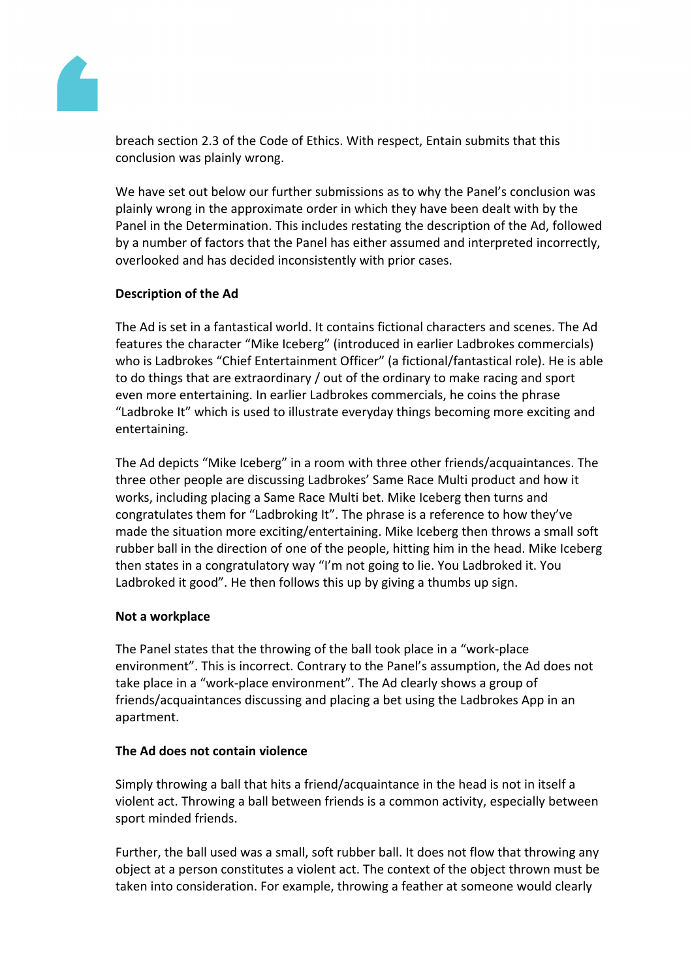

breach section 2.3 of the Code of Ethics. With respect, Entain submits that this conclusion was plainly wrong.

We have set out below our further submissions as to why the Panel's conclusion was plainly wrong in the approximate order in which they have been dealt with by the Panel in the Determination. This includes restating the description of the Ad, followed by a number of factors that the Panel has either assumed and interpreted incorrectly, overlooked and has decided inconsistently with prior cases.

# **Description of the Ad**

The Ad is set in a fantastical world. It contains fictional characters and scenes. The Ad features the character "Mike Iceberg" (introduced in earlier Ladbrokes commercials) who is Ladbrokes "Chief Entertainment Officer" (a fictional/fantastical role). He is able to do things that are extraordinary / out of the ordinary to make racing and sport even more entertaining. In earlier Ladbrokes commercials, he coins the phrase "Ladbroke It" which is used to illustrate everyday things becoming more exciting and entertaining.

The Ad depicts "Mike Iceberg" in a room with three other friends/acquaintances. The three other people are discussing Ladbrokes' Same Race Multi product and how it works, including placing a Same Race Multi bet. Mike Iceberg then turns and congratulates them for "Ladbroking It". The phrase is a reference to how they've made the situation more exciting/entertaining. Mike Iceberg then throws a small soft rubber ball in the direction of one of the people, hitting him in the head. Mike Iceberg then states in a congratulatory way "I'm not going to lie. You Ladbroked it. You Ladbroked it good". He then follows this up by giving a thumbs up sign.

# **Not a workplace**

The Panel states that the throwing of the ball took place in a "work-place environment". This is incorrect. Contrary to the Panel's assumption, the Ad does not take place in a "work-place environment". The Ad clearly shows a group of friends/acquaintances discussing and placing a bet using the Ladbrokes App in an apartment.

# **The Ad does not contain violence**

Simply throwing a ball that hits a friend/acquaintance in the head is not in itself a violent act. Throwing a ball between friends is a common activity, especially between sport minded friends.

Further, the ball used was a small, soft rubber ball. It does not flow that throwing any object at a person constitutes a violent act. The context of the object thrown must be taken into consideration. For example, throwing a feather at someone would clearly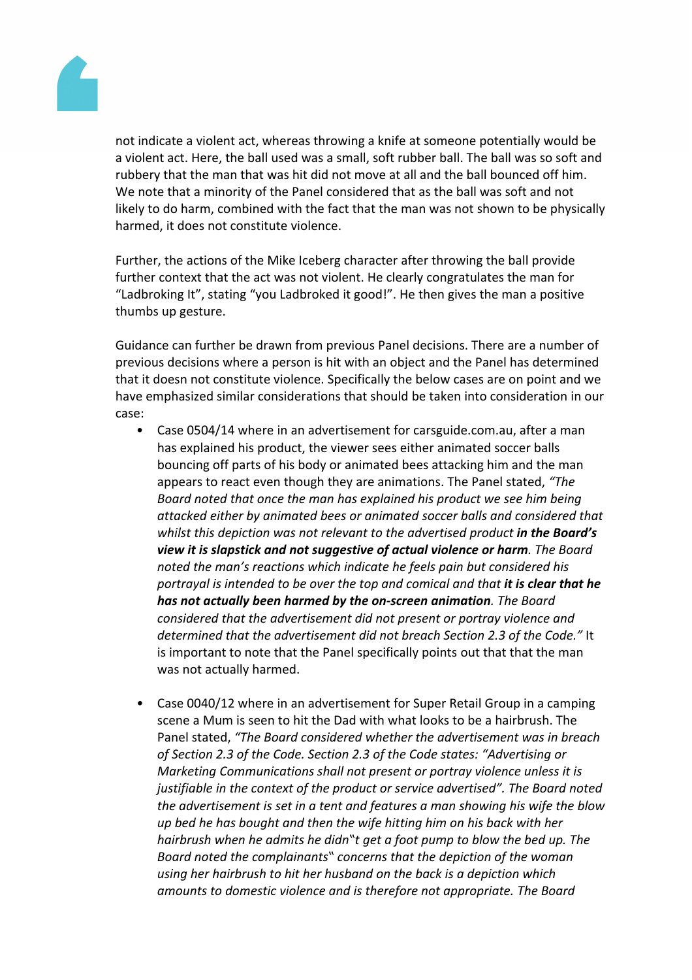

not indicate a violent act, whereas throwing a knife at someone potentially would be a violent act. Here, the ball used was a small, soft rubber ball. The ball was so soft and rubbery that the man that was hit did not move at all and the ball bounced off him. We note that a minority of the Panel considered that as the ball was soft and not likely to do harm, combined with the fact that the man was not shown to be physically harmed, it does not constitute violence.

Further, the actions of the Mike Iceberg character after throwing the ball provide further context that the act was not violent. He clearly congratulates the man for "Ladbroking It", stating "you Ladbroked it good!". He then gives the man a positive thumbs up gesture.

Guidance can further be drawn from previous Panel decisions. There are a number of previous decisions where a person is hit with an object and the Panel has determined that it doesn not constitute violence. Specifically the below cases are on point and we have emphasized similar considerations that should be taken into consideration in our case:

- Case 0504/14 where in an advertisement for carsguide.com.au, after a man has explained his product, the viewer sees either animated soccer balls bouncing off parts of his body or animated bees attacking him and the man appears to react even though they are animations. The Panel stated, *"The Board noted that once the man has explained his product we see him being attacked either by animated bees or animated soccer balls and considered that whilst this depiction was not relevant to the advertised product in the Board's view it is slapstick and not suggestive of actual violence or harm. The Board noted the man's reactions which indicate he feels pain but considered his portrayal is intended to be over the top and comical and that it is clear that he has not actually been harmed by the on-screen animation. The Board considered that the advertisement did not present or portray violence and determined that the advertisement did not breach Section 2.3 of the Code."* It is important to note that the Panel specifically points out that that the man was not actually harmed.
- *•* Case 0040/12 where in an advertisement for Super Retail Group in a camping scene a Mum is seen to hit the Dad with what looks to be a hairbrush. The Panel stated, *"The Board considered whether the advertisement was in breach of Section 2.3 of the Code. Section 2.3 of the Code states: "Advertising or Marketing Communications shall not present or portray violence unless it is justifiable in the context of the product or service advertised". The Board noted the advertisement is set in a tent and features a man showing his wife the blow up bed he has bought and then the wife hitting him on his back with her hairbrush when he admits he didn"t get a foot pump to blow the bed up. The Board noted the complainants" concerns that the depiction of the woman using her hairbrush to hit her husband on the back is a depiction which amounts to domestic violence and is therefore not appropriate. The Board*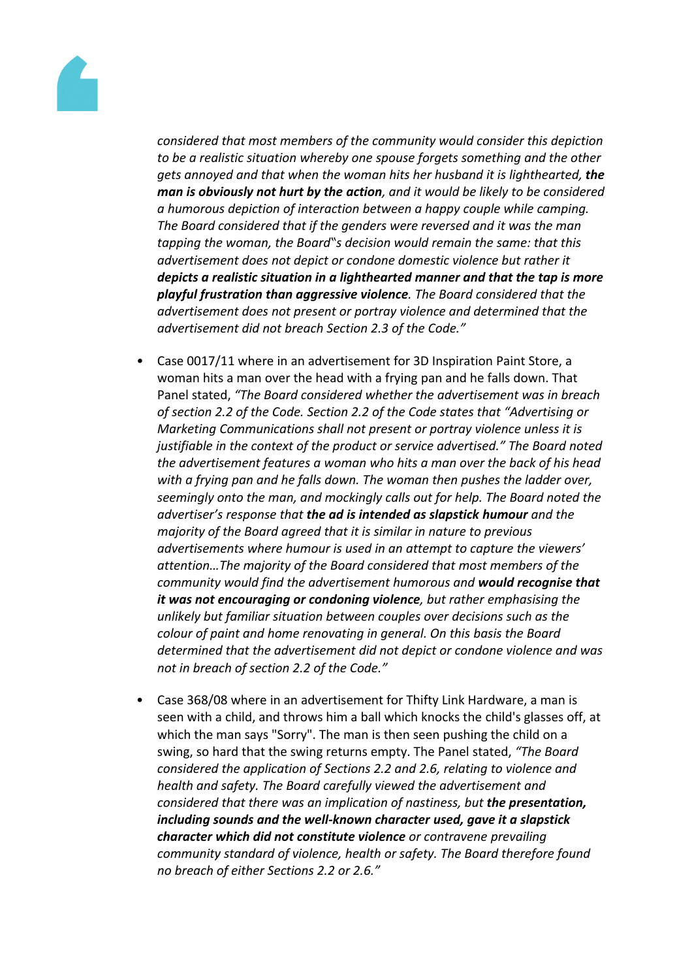

*considered that most members of the community would consider this depiction to be a realistic situation whereby one spouse forgets something and the other gets annoyed and that when the woman hits her husband it is lighthearted, the man is obviously not hurt by the action, and it would be likely to be considered a humorous depiction of interaction between a happy couple while camping. The Board considered that if the genders were reversed and it was the man tapping the woman, the Board"s decision would remain the same: that this advertisement does not depict or condone domestic violence but rather it depicts a realistic situation in a lighthearted manner and that the tap is more playful frustration than aggressive violence. The Board considered that the advertisement does not present or portray violence and determined that the advertisement did not breach Section 2.3 of the Code."*

- *•* Case 0017/11 where in an advertisement for 3D Inspiration Paint Store, a woman hits a man over the head with a frying pan and he falls down. That Panel stated, *"The Board considered whether the advertisement was in breach of section 2.2 of the Code. Section 2.2 of the Code states that "Advertising or Marketing Communications shall not present or portray violence unless it is justifiable in the context of the product or service advertised." The Board noted the advertisement features a woman who hits a man over the back of his head with a frying pan and he falls down. The woman then pushes the ladder over, seemingly onto the man, and mockingly calls out for help. The Board noted the advertiser's response that the ad is intended as slapstick humour and the majority of the Board agreed that it is similar in nature to previous advertisements where humour is used in an attempt to capture the viewers' attention…The majority of the Board considered that most members of the community would find the advertisement humorous and would recognise that it was not encouraging or condoning violence, but rather emphasising the unlikely but familiar situation between couples over decisions such as the colour of paint and home renovating in general. On this basis the Board determined that the advertisement did not depict or condone violence and was not in breach of section 2.2 of the Code."*
- Case 368/08 where in an advertisement for Thifty Link Hardware, a man is seen with a child, and throws him a ball which knocks the child's glasses off, at which the man says "Sorry". The man is then seen pushing the child on a swing, so hard that the swing returns empty. The Panel stated, *"The Board considered the application of Sections 2.2 and 2.6, relating to violence and health and safety. The Board carefully viewed the advertisement and considered that there was an implication of nastiness, but the presentation, including sounds and the well-known character used, gave it a slapstick character which did not constitute violence or contravene prevailing community standard of violence, health or safety. The Board therefore found no breach of either Sections 2.2 or 2.6."*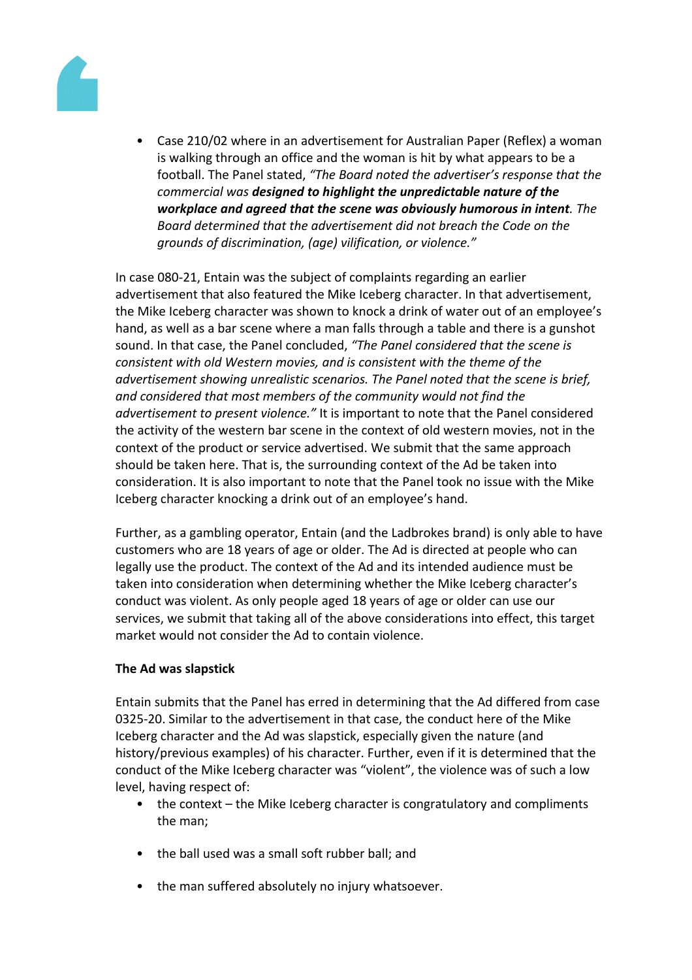

• Case 210/02 where in an advertisement for Australian Paper (Reflex) a woman is walking through an office and the woman is hit by what appears to be a football. The Panel stated, *"The Board noted the advertiser's response that the commercial was designed to highlight the unpredictable nature of the workplace and agreed that the scene was obviously humorous in intent. The Board determined that the advertisement did not breach the Code on the grounds of discrimination, (age) vilification, or violence."*

In case 080-21, Entain was the subject of complaints regarding an earlier advertisement that also featured the Mike Iceberg character. In that advertisement, the Mike Iceberg character was shown to knock a drink of water out of an employee's hand, as well as a bar scene where a man falls through a table and there is a gunshot sound. In that case, the Panel concluded, *"The Panel considered that the scene is consistent with old Western movies, and is consistent with the theme of the advertisement showing unrealistic scenarios. The Panel noted that the scene is brief, and considered that most members of the community would not find the advertisement to present violence."* It is important to note that the Panel considered the activity of the western bar scene in the context of old western movies, not in the context of the product or service advertised. We submit that the same approach should be taken here. That is, the surrounding context of the Ad be taken into consideration. It is also important to note that the Panel took no issue with the Mike Iceberg character knocking a drink out of an employee's hand.

Further, as a gambling operator, Entain (and the Ladbrokes brand) is only able to have customers who are 18 years of age or older. The Ad is directed at people who can legally use the product. The context of the Ad and its intended audience must be taken into consideration when determining whether the Mike Iceberg character's conduct was violent. As only people aged 18 years of age or older can use our services, we submit that taking all of the above considerations into effect, this target market would not consider the Ad to contain violence.

# **The Ad was slapstick**

Entain submits that the Panel has erred in determining that the Ad differed from case 0325-20. Similar to the advertisement in that case, the conduct here of the Mike Iceberg character and the Ad was slapstick, especially given the nature (and history/previous examples) of his character. Further, even if it is determined that the conduct of the Mike Iceberg character was "violent", the violence was of such a low level, having respect of:

- the context the Mike Iceberg character is congratulatory and compliments the man;
- the ball used was a small soft rubber ball; and
- the man suffered absolutely no injury whatsoever.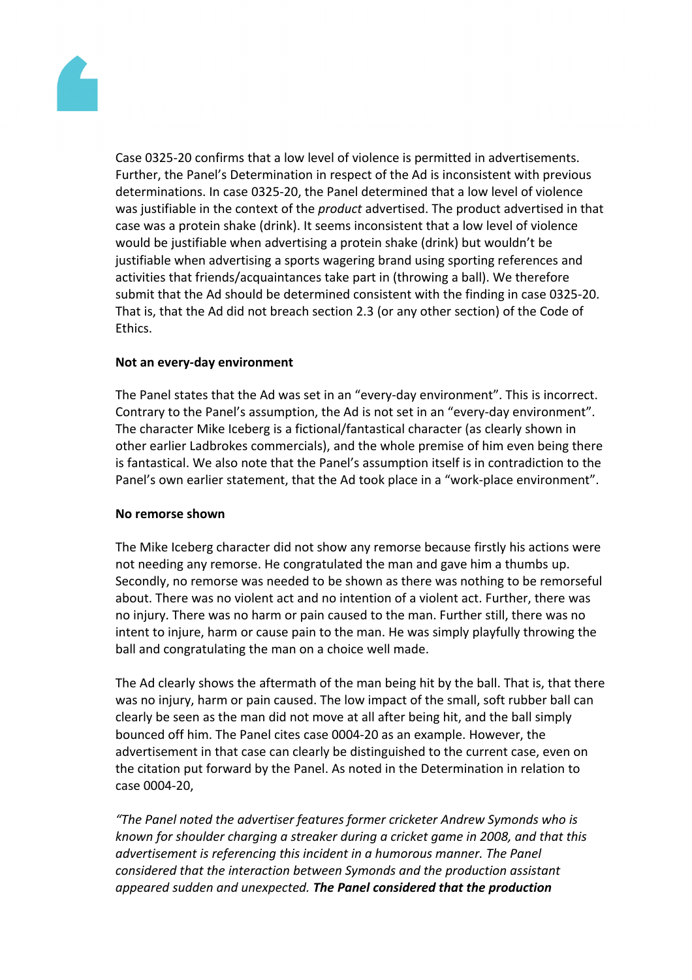

Case 0325-20 confirms that a low level of violence is permitted in advertisements. Further, the Panel's Determination in respect of the Ad is inconsistent with previous determinations. In case 0325-20, the Panel determined that a low level of violence was justifiable in the context of the *product* advertised. The product advertised in that case was a protein shake (drink). It seems inconsistent that a low level of violence would be justifiable when advertising a protein shake (drink) but wouldn't be justifiable when advertising a sports wagering brand using sporting references and activities that friends/acquaintances take part in (throwing a ball). We therefore submit that the Ad should be determined consistent with the finding in case 0325-20. That is, that the Ad did not breach section 2.3 (or any other section) of the Code of **Ethics** 

# **Not an every-day environment**

The Panel states that the Ad was set in an "every-day environment". This is incorrect. Contrary to the Panel's assumption, the Ad is not set in an "every-day environment". The character Mike Iceberg is a fictional/fantastical character (as clearly shown in other earlier Ladbrokes commercials), and the whole premise of him even being there is fantastical. We also note that the Panel's assumption itself is in contradiction to the Panel's own earlier statement, that the Ad took place in a "work-place environment".

# **No remorse shown**

The Mike Iceberg character did not show any remorse because firstly his actions were not needing any remorse. He congratulated the man and gave him a thumbs up. Secondly, no remorse was needed to be shown as there was nothing to be remorseful about. There was no violent act and no intention of a violent act. Further, there was no injury. There was no harm or pain caused to the man. Further still, there was no intent to injure, harm or cause pain to the man. He was simply playfully throwing the ball and congratulating the man on a choice well made.

The Ad clearly shows the aftermath of the man being hit by the ball. That is, that there was no injury, harm or pain caused. The low impact of the small, soft rubber ball can clearly be seen as the man did not move at all after being hit, and the ball simply bounced off him. The Panel cites case 0004-20 as an example. However, the advertisement in that case can clearly be distinguished to the current case, even on the citation put forward by the Panel. As noted in the Determination in relation to case 0004-20,

*"The Panel noted the advertiser features former cricketer Andrew Symonds who is known for shoulder charging a streaker during a cricket game in 2008, and that this advertisement is referencing this incident in a humorous manner. The Panel considered that the interaction between Symonds and the production assistant appeared sudden and unexpected. The Panel considered that the production*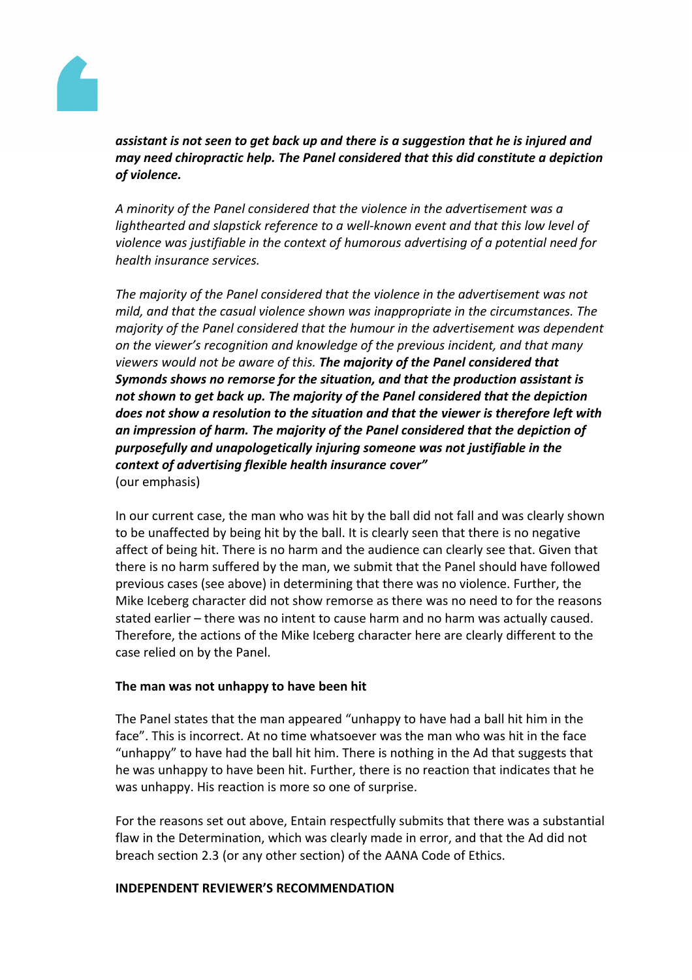

*assistant is not seen to get back up and there is a suggestion that he is injured and may need chiropractic help. The Panel considered that this did constitute a depiction of violence.*

*A minority of the Panel considered that the violence in the advertisement was a lighthearted and slapstick reference to a well-known event and that this low level of violence was justifiable in the context of humorous advertising of a potential need for health insurance services.*

*The majority of the Panel considered that the violence in the advertisement was not mild, and that the casual violence shown was inappropriate in the circumstances. The majority of the Panel considered that the humour in the advertisement was dependent on the viewer's recognition and knowledge of the previous incident, and that many viewers would not be aware of this. The majority of the Panel considered that Symonds shows no remorse for the situation, and that the production assistant is not shown to get back up. The majority of the Panel considered that the depiction does not show a resolution to the situation and that the viewer is therefore left with an impression of harm. The majority of the Panel considered that the depiction of purposefully and unapologetically injuring someone was not justifiable in the context of advertising flexible health insurance cover"* (our emphasis)

In our current case, the man who was hit by the ball did not fall and was clearly shown to be unaffected by being hit by the ball. It is clearly seen that there is no negative affect of being hit. There is no harm and the audience can clearly see that. Given that there is no harm suffered by the man, we submit that the Panel should have followed previous cases (see above) in determining that there was no violence. Further, the Mike Iceberg character did not show remorse as there was no need to for the reasons stated earlier – there was no intent to cause harm and no harm was actually caused. Therefore, the actions of the Mike Iceberg character here are clearly different to the case relied on by the Panel.

# **The man was not unhappy to have been hit**

The Panel states that the man appeared "unhappy to have had a ball hit him in the face". This is incorrect. At no time whatsoever was the man who was hit in the face "unhappy" to have had the ball hit him. There is nothing in the Ad that suggests that he was unhappy to have been hit. Further, there is no reaction that indicates that he was unhappy. His reaction is more so one of surprise.

For the reasons set out above, Entain respectfully submits that there was a substantial flaw in the Determination, which was clearly made in error, and that the Ad did not breach section 2.3 (or any other section) of the AANA Code of Ethics.

#### **INDEPENDENT REVIEWER'S RECOMMENDATION**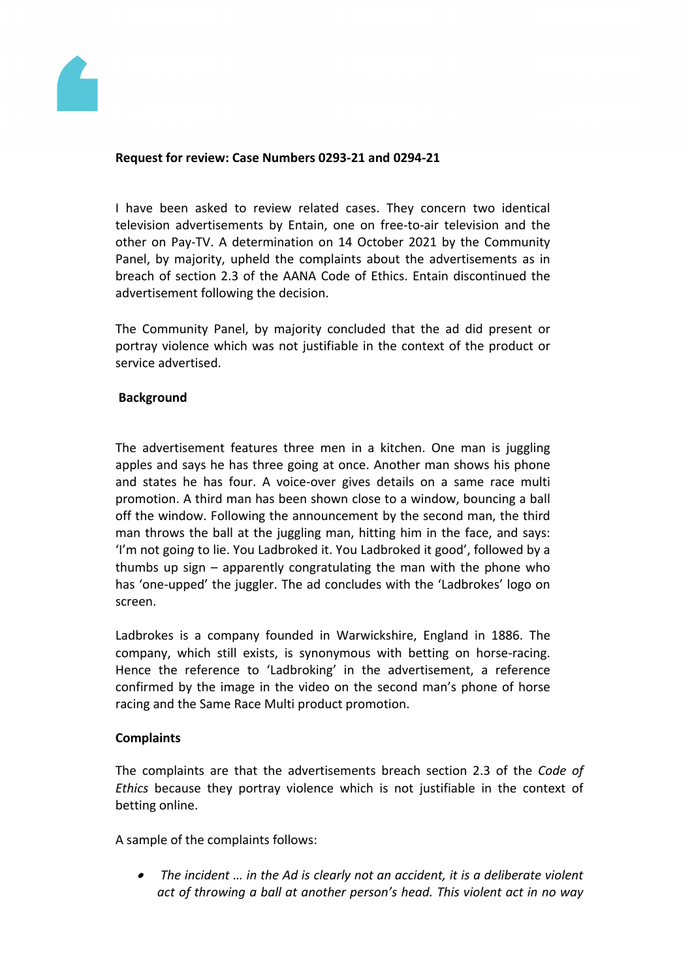

# **Request for review: Case Numbers 0293-21 and 0294-21**

I have been asked to review related cases. They concern two identical television advertisements by Entain, one on free-to-air television and the other on Pay-TV. A determination on 14 October 2021 by the Community Panel, by majority, upheld the complaints about the advertisements as in breach of section 2.3 of the AANA Code of Ethics. Entain discontinued the advertisement following the decision.

The Community Panel, by majority concluded that the ad did present or portray violence which was not justifiable in the context of the product or service advertised.

# **Background**

The advertisement features three men in a kitchen. One man is juggling apples and says he has three going at once. Another man shows his phone and states he has four. A voice-over gives details on a same race multi promotion. A third man has been shown close to a window, bouncing a ball off the window. Following the announcement by the second man, the third man throws the ball at the juggling man, hitting him in the face, and says: 'I'm not goin*g* to lie. You Ladbroked it. You Ladbroked it good', followed by a thumbs up sign – apparently congratulating the man with the phone who has 'one-upped' the juggler. The ad concludes with the 'Ladbrokes' logo on screen.

Ladbrokes is a company founded in Warwickshire, England in 1886. The company, which still exists, is synonymous with betting on horse-racing. Hence the reference to 'Ladbroking' in the advertisement, a reference confirmed by the image in the video on the second man's phone of horse racing and the Same Race Multi product promotion.

#### **Complaints**

The complaints are that the advertisements breach section 2.3 of the *Code of Ethics* because they portray violence which is not justifiable in the context of betting online.

A sample of the complaints follows:

 *The incident … in the Ad is clearly not an accident, it is a deliberate violent act of throwing a ball at another person's head. This violent act in no way*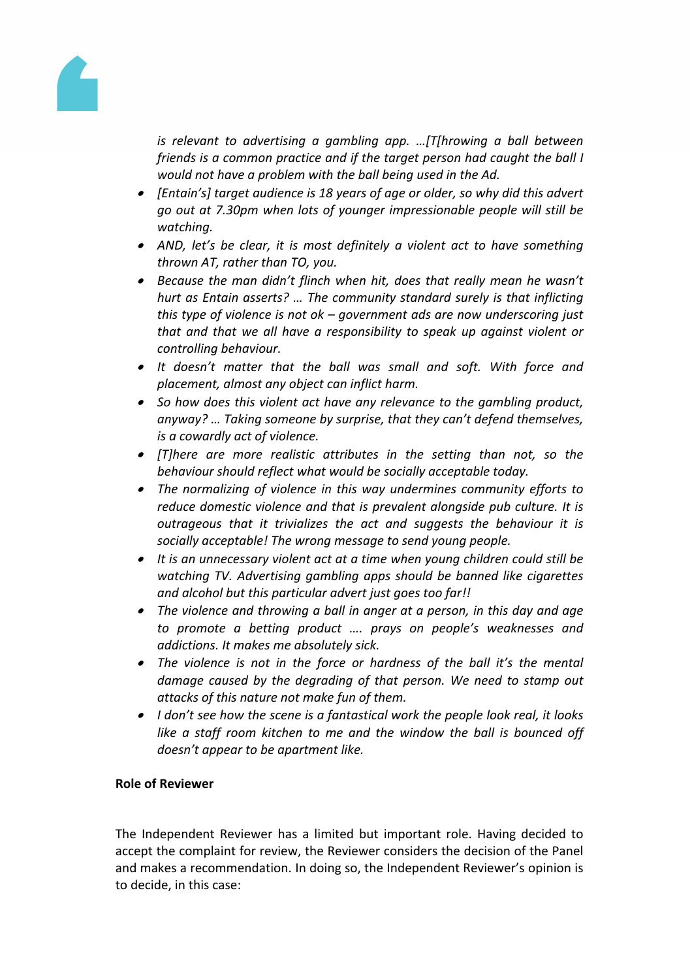

*is relevant to advertising a gambling app. …[T[hrowing a ball between friends is a common practice and if the target person had caught the ball I would not have a problem with the ball being used in the Ad.*

- *[Entain's] target audience is 18 years of age or older, so why did this advert go out at 7.30pm when lots of younger impressionable people will still be watching.*
- *AND, let's be clear, it is most definitely a violent act to have something thrown AT, rather than TO, you.*
- *Because the man didn't flinch when hit, does that really mean he wasn't hurt as Entain asserts? … The community standard surely is that inflicting this type of violence is not ok – government ads are now underscoring just that and that we all have a responsibility to speak up against violent or controlling behaviour.*
- *It doesn't matter that the ball was small and soft. With force and placement, almost any object can inflict harm.*
- *So how does this violent act have any relevance to the gambling product, anyway? … Taking someone by surprise, that they can't defend themselves, is a cowardly act of violence.*
- *[T]here are more realistic attributes in the setting than not, so the behaviour should reflect what would be socially acceptable today.*
- *The normalizing of violence in this way undermines community efforts to reduce domestic violence and that is prevalent alongside pub culture. It is outrageous that it trivializes the act and suggests the behaviour it is socially acceptable! The wrong message to send young people.*
- *It is an unnecessary violent act at a time when young children could still be watching TV. Advertising gambling apps should be banned like cigarettes and alcohol but this particular advert just goes too far!!*
- *The violence and throwing a ball in anger at a person, in this day and age to promote a betting product …. prays on people's weaknesses and addictions. It makes me absolutely sick.*
- *The violence is not in the force or hardness of the ball it's the mental damage caused by the degrading of that person. We need to stamp out attacks of this nature not make fun of them.*
- *I don't see how the scene is a fantastical work the people look real, it looks like a staff room kitchen to me and the window the ball is bounced off doesn't appear to be apartment like.*

# **Role of Reviewer**

The Independent Reviewer has a limited but important role. Having decided to accept the complaint for review, the Reviewer considers the decision of the Panel and makes a recommendation. In doing so, the Independent Reviewer's opinion is to decide, in this case: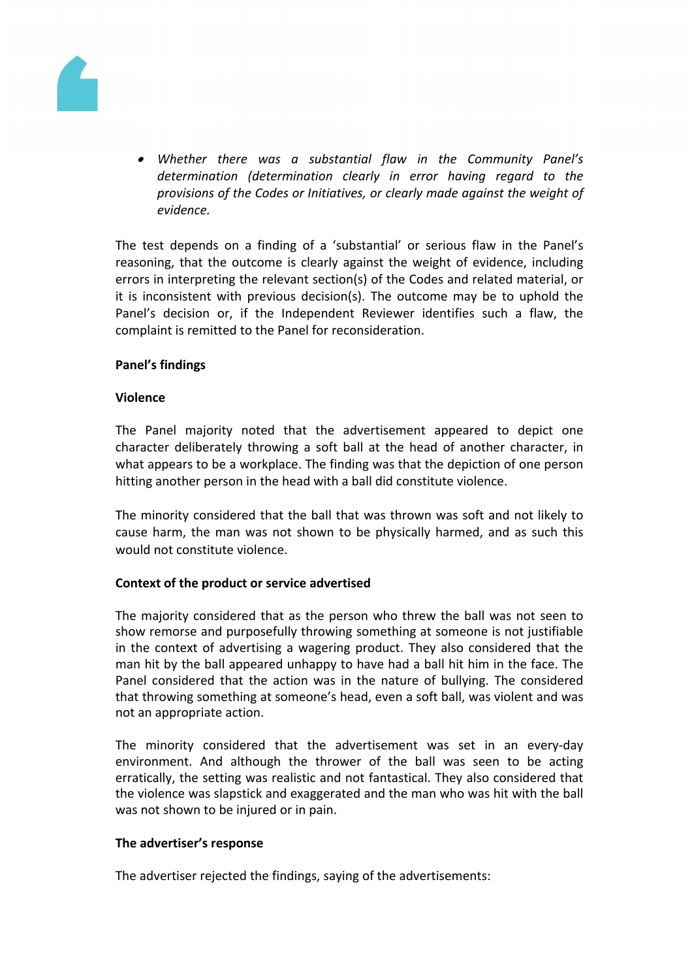

 *Whether there was a substantial flaw in the Community Panel's determination (determination clearly in error having regard to the provisions of the Codes or Initiatives, or clearly made against the weight of evidence.*

The test depends on a finding of a 'substantial' or serious flaw in the Panel's reasoning, that the outcome is clearly against the weight of evidence, including errors in interpreting the relevant section(s) of the Codes and related material, or it is inconsistent with previous decision(s). The outcome may be to uphold the Panel's decision or, if the Independent Reviewer identifies such a flaw, the complaint is remitted to the Panel for reconsideration.

# **Panel's findings**

# **Violence**

The Panel majority noted that the advertisement appeared to depict one character deliberately throwing a soft ball at the head of another character, in what appears to be a workplace. The finding was that the depiction of one person hitting another person in the head with a ball did constitute violence.

The minority considered that the ball that was thrown was soft and not likely to cause harm, the man was not shown to be physically harmed, and as such this would not constitute violence.

# **Context of the product or service advertised**

The majority considered that as the person who threw the ball was not seen to show remorse and purposefully throwing something at someone is not justifiable in the context of advertising a wagering product. They also considered that the man hit by the ball appeared unhappy to have had a ball hit him in the face. The Panel considered that the action was in the nature of bullying. The considered that throwing something at someone's head, even a soft ball, was violent and was not an appropriate action.

The minority considered that the advertisement was set in an every-day environment. And although the thrower of the ball was seen to be acting erratically, the setting was realistic and not fantastical. They also considered that the violence was slapstick and exaggerated and the man who was hit with the ball was not shown to be injured or in pain.

# **The advertiser's response**

The advertiser rejected the findings, saying of the advertisements: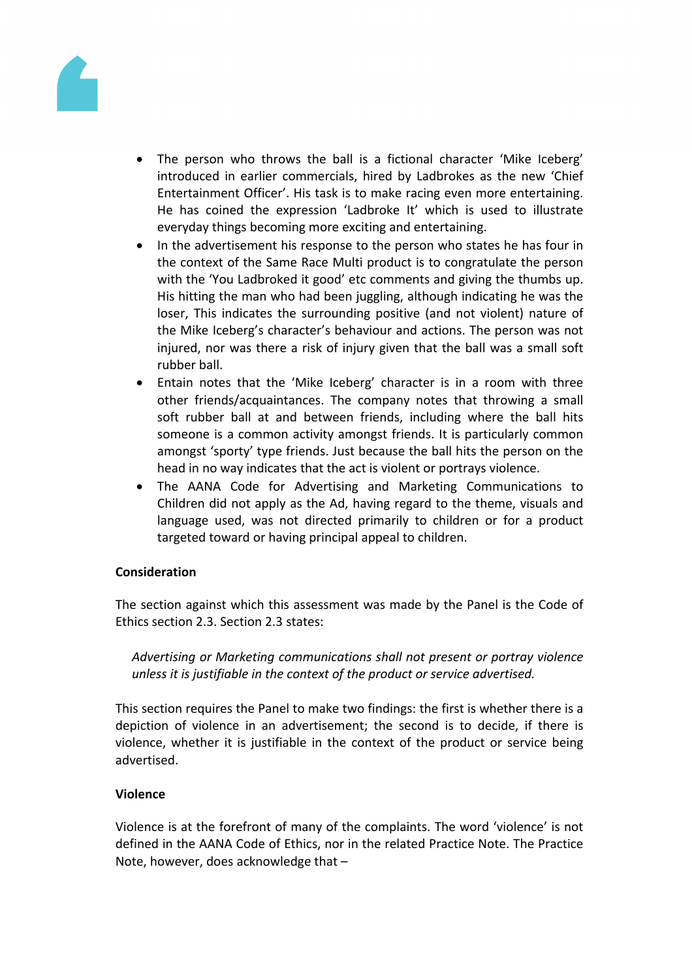

- The person who throws the ball is a fictional character 'Mike Iceberg' introduced in earlier commercials, hired by Ladbrokes as the new 'Chief Entertainment Officer'. His task is to make racing even more entertaining. He has coined the expression 'Ladbroke It' which is used to illustrate everyday things becoming more exciting and entertaining.
- In the advertisement his response to the person who states he has four in the context of the Same Race Multi product is to congratulate the person with the 'You Ladbroked it good' etc comments and giving the thumbs up. His hitting the man who had been juggling, although indicating he was the loser, This indicates the surrounding positive (and not violent) nature of the Mike Iceberg's character's behaviour and actions. The person was not injured, nor was there a risk of injury given that the ball was a small soft rubber ball.
- Entain notes that the 'Mike Iceberg' character is in a room with three other friends/acquaintances. The company notes that throwing a small soft rubber ball at and between friends, including where the ball hits someone is a common activity amongst friends. It is particularly common amongst 'sporty' type friends. Just because the ball hits the person on the head in no way indicates that the act is violent or portrays violence.
- The AANA Code for Advertising and Marketing Communications to Children did not apply as the Ad, having regard to the theme, visuals and language used, was not directed primarily to children or for a product targeted toward or having principal appeal to children.

# **Consideration**

The section against which this assessment was made by the Panel is the Code of Ethics section 2.3. Section 2.3 states:

*Advertising or Marketing communications shall not present or portray violence unless it is justifiable in the context of the product or service advertised.*

This section requires the Panel to make two findings: the first is whether there is a depiction of violence in an advertisement; the second is to decide, if there is violence, whether it is justifiable in the context of the product or service being advertised.

# **Violence**

Violence is at the forefront of many of the complaints. The word 'violence' is not defined in the AANA Code of Ethics, nor in the related Practice Note. The Practice Note, however, does acknowledge that –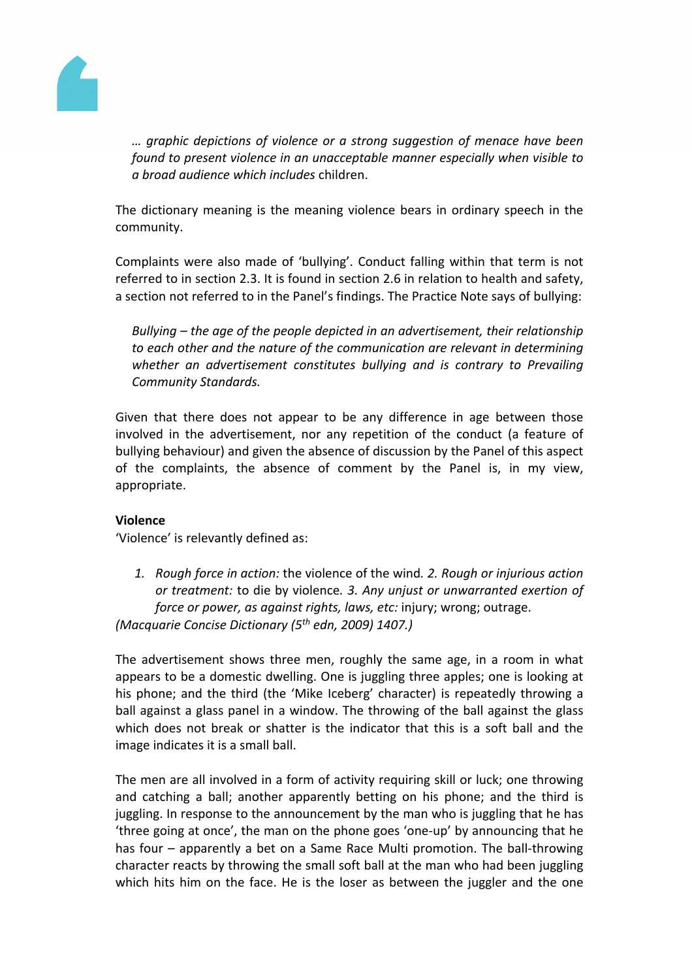

*… graphic depictions of violence or a strong suggestion of menace have been found to present violence in an unacceptable manner especially when visible to a broad audience which includes* children.

The dictionary meaning is the meaning violence bears in ordinary speech in the community.

Complaints were also made of 'bullying'. Conduct falling within that term is not referred to in section 2.3. It is found in section 2.6 in relation to health and safety, a section not referred to in the Panel's findings. The Practice Note says of bullying:

*Bullying – the age of the people depicted in an advertisement, their relationship to each other and the nature of the communication are relevant in determining whether an advertisement constitutes bullying and is contrary to Prevailing Community Standards.*

Given that there does not appear to be any difference in age between those involved in the advertisement, nor any repetition of the conduct (a feature of bullying behaviour) and given the absence of discussion by the Panel of this aspect of the complaints, the absence of comment by the Panel is, in my view, appropriate.

# **Violence**

'Violence' is relevantly defined as:

*1. Rough force in action:* the violence of the wind*. 2. Rough or injurious action or treatment:* to die by violence*. 3. Any unjust or unwarranted exertion of force or power, as against rights, laws, etc:* injury; wrong; outrage. *(Macquarie Concise Dictionary (5th edn, 2009) 1407.)*

The advertisement shows three men, roughly the same age, in a room in what appears to be a domestic dwelling. One is juggling three apples; one is looking at his phone; and the third (the 'Mike Iceberg' character) is repeatedly throwing a ball against a glass panel in a window. The throwing of the ball against the glass which does not break or shatter is the indicator that this is a soft ball and the image indicates it is a small ball.

The men are all involved in a form of activity requiring skill or luck; one throwing and catching a ball; another apparently betting on his phone; and the third is juggling. In response to the announcement by the man who is juggling that he has 'three going at once', the man on the phone goes 'one-up' by announcing that he has four – apparently a bet on a Same Race Multi promotion. The ball-throwing character reacts by throwing the small soft ball at the man who had been juggling which hits him on the face. He is the loser as between the juggler and the one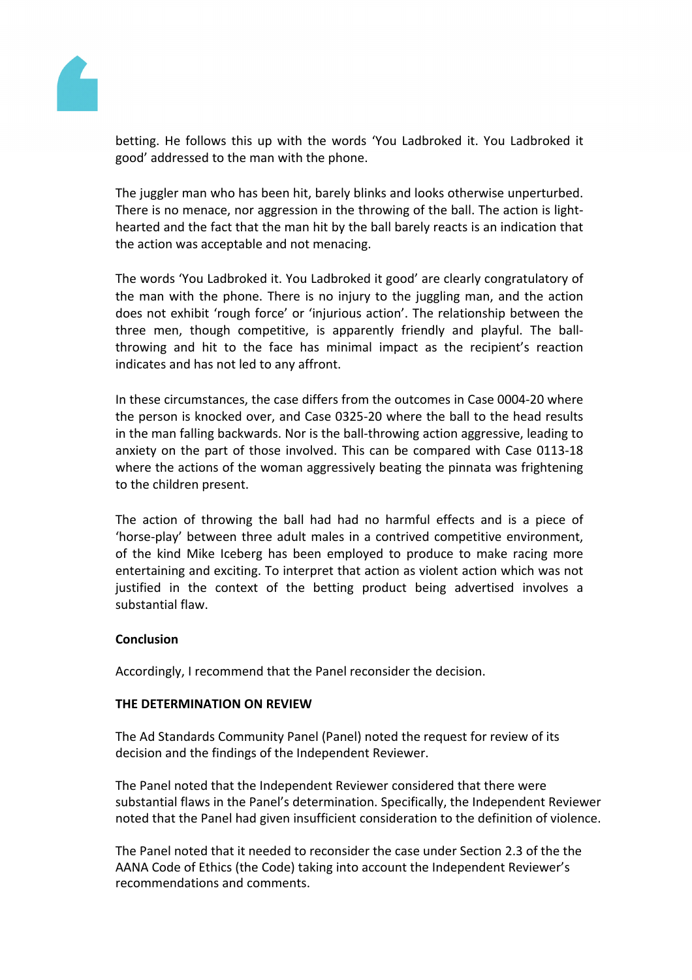

betting. He follows this up with the words 'You Ladbroked it. You Ladbroked it good' addressed to the man with the phone.

The juggler man who has been hit, barely blinks and looks otherwise unperturbed. There is no menace, nor aggression in the throwing of the ball. The action is lighthearted and the fact that the man hit by the ball barely reacts is an indication that the action was acceptable and not menacing.

The words 'You Ladbroked it. You Ladbroked it good' are clearly congratulatory of the man with the phone. There is no injury to the juggling man, and the action does not exhibit 'rough force' or 'injurious action'. The relationship between the three men, though competitive, is apparently friendly and playful. The ballthrowing and hit to the face has minimal impact as the recipient's reaction indicates and has not led to any affront.

In these circumstances, the case differs from the outcomes in Case 0004-20 where the person is knocked over, and Case 0325-20 where the ball to the head results in the man falling backwards. Nor is the ball-throwing action aggressive, leading to anxiety on the part of those involved. This can be compared with Case 0113-18 where the actions of the woman aggressively beating the pinnata was frightening to the children present.

The action of throwing the ball had had no harmful effects and is a piece of 'horse-play' between three adult males in a contrived competitive environment, of the kind Mike Iceberg has been employed to produce to make racing more entertaining and exciting. To interpret that action as violent action which was not justified in the context of the betting product being advertised involves a substantial flaw.

# **Conclusion**

Accordingly, I recommend that the Panel reconsider the decision.

#### **THE DETERMINATION ON REVIEW**

The Ad Standards Community Panel (Panel) noted the request for review of its decision and the findings of the Independent Reviewer.

The Panel noted that the Independent Reviewer considered that there were substantial flaws in the Panel's determination. Specifically, the Independent Reviewer noted that the Panel had given insufficient consideration to the definition of violence.

The Panel noted that it needed to reconsider the case under Section 2.3 of the the AANA Code of Ethics (the Code) taking into account the Independent Reviewer's recommendations and comments.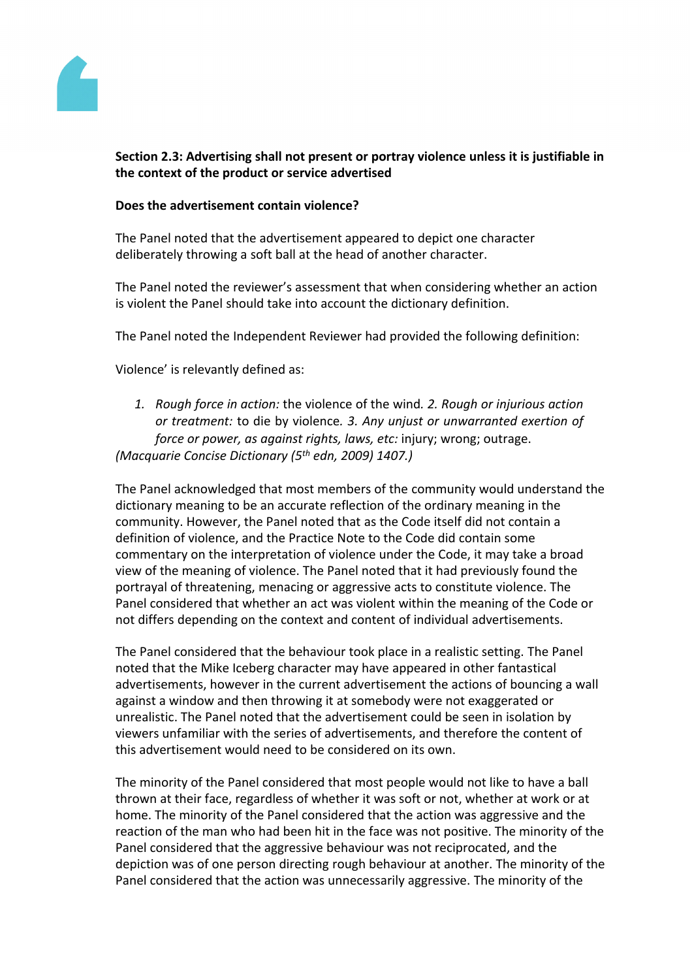

# **Section 2.3: Advertising shall not present or portray violence unless it is justifiable in the context of the product or service advertised**

### **Does the advertisement contain violence?**

The Panel noted that the advertisement appeared to depict one character deliberately throwing a soft ball at the head of another character.

The Panel noted the reviewer's assessment that when considering whether an action is violent the Panel should take into account the dictionary definition.

The Panel noted the Independent Reviewer had provided the following definition:

Violence' is relevantly defined as:

*1. Rough force in action:* the violence of the wind*. 2. Rough or injurious action or treatment:* to die by violence*. 3. Any unjust or unwarranted exertion of force or power, as against rights, laws, etc:* injury; wrong; outrage. *(Macquarie Concise Dictionary (5th edn, 2009) 1407.)*

The Panel acknowledged that most members of the community would understand the dictionary meaning to be an accurate reflection of the ordinary meaning in the community. However, the Panel noted that as the Code itself did not contain a definition of violence, and the Practice Note to the Code did contain some commentary on the interpretation of violence under the Code, it may take a broad view of the meaning of violence. The Panel noted that it had previously found the portrayal of threatening, menacing or aggressive acts to constitute violence. The Panel considered that whether an act was violent within the meaning of the Code or not differs depending on the context and content of individual advertisements.

The Panel considered that the behaviour took place in a realistic setting. The Panel noted that the Mike Iceberg character may have appeared in other fantastical advertisements, however in the current advertisement the actions of bouncing a wall against a window and then throwing it at somebody were not exaggerated or unrealistic. The Panel noted that the advertisement could be seen in isolation by viewers unfamiliar with the series of advertisements, and therefore the content of this advertisement would need to be considered on its own.

The minority of the Panel considered that most people would not like to have a ball thrown at their face, regardless of whether it was soft or not, whether at work or at home. The minority of the Panel considered that the action was aggressive and the reaction of the man who had been hit in the face was not positive. The minority of the Panel considered that the aggressive behaviour was not reciprocated, and the depiction was of one person directing rough behaviour at another. The minority of the Panel considered that the action was unnecessarily aggressive. The minority of the